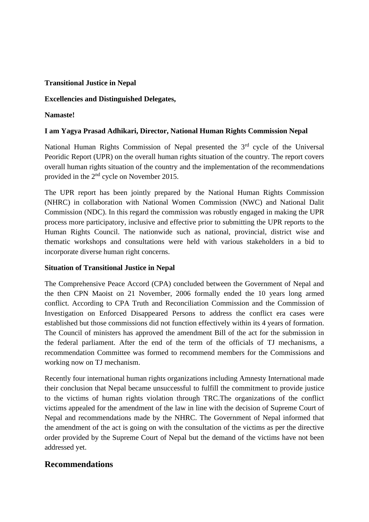### **Transitional Justice in Nepal**

# **Excellencies and Distinguished Delegates,**

# **Namaste!**

# **I am Yagya Prasad Adhikari, Director, National Human Rights Commission Nepal**

National Human Rights Commission of Nepal presented the 3<sup>rd</sup> cycle of the Universal Peoridic Report (UPR) on the overall human rights situation of the country. The report covers overall human rights situation of the country and the implementation of the recommendations provided in the 2nd cycle on November 2015.

The UPR report has been jointly prepared by the National Human Rights Commission (NHRC) in collaboration with National Women Commission (NWC) and National Dalit Commission (NDC). In this regard the commission was robustly engaged in making the UPR process more participatory, inclusive and effective prior to submitting the UPR reports to the Human Rights Council. The nationwide such as national, provincial, district wise and thematic workshops and consultations were held with various stakeholders in a bid to incorporate diverse human right concerns.

#### **Situation of Transitional Justice in Nepal**

The Comprehensive Peace Accord (CPA) concluded between the Government of Nepal and the then CPN Maoist on 21 November, 2006 formally ended the 10 years long armed conflict. According to CPA Truth and Reconciliation Commission and the Commission of Investigation on Enforced Disappeared Persons to address the conflict era cases were established but those commissions did not function effectively within its 4 years of formation. The Council of ministers has approved the amendment Bill of the act for the submission in the federal parliament. After the end of the term of the officials of TJ mechanisms, a recommendation Committee was formed to recommend members for the Commissions and working now on TJ mechanism.

Recently four international human rights organizations including Amnesty International made their conclusion that Nepal became unsuccessful to fulfill the commitment to provide justice to the victims of human rights violation through TRC.The organizations of the conflict victims appealed for the amendment of the law in line with the decision of Supreme Court of Nepal and recommendations made by the NHRC. The Government of Nepal informed that the amendment of the act is going on with the consultation of the victims as per the directive order provided by the Supreme Court of Nepal but the demand of the victims have not been addressed yet.

# **Recommendations**